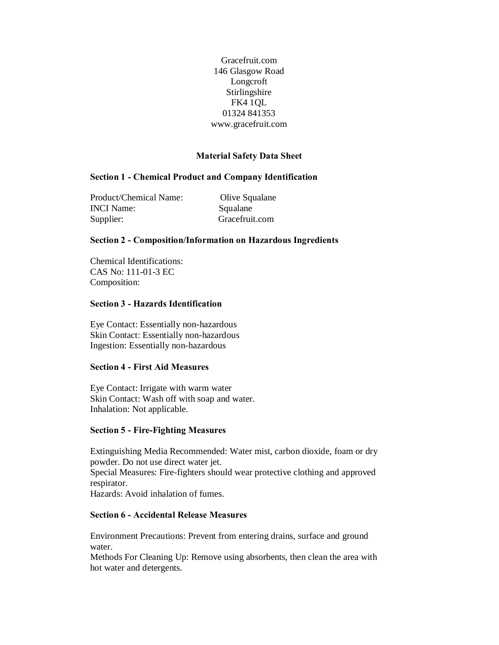Gracefruit.com 146 Glasgow Road Longcroft Stirlingshire FK4 1QL 01324 841353 www.gracefruit.com

### **Material Safety Data Sheet**

## **Section 1 - Chemical Product and Company Identification**

Product/Chemical Name: Olive Squalane INCI Name: Squalane Supplier: Gracefruit.com

### **Section 2 - Composition/Information on Hazardous Ingredients**

Chemical Identifications: CAS No: 111-01-3 EC Composition:

### **Section 3 - Hazards Identification**

Eye Contact: Essentially non-hazardous Skin Contact: Essentially non-hazardous Ingestion: Essentially non-hazardous

## **Section 4 - First Aid Measures**

Eye Contact: Irrigate with warm water Skin Contact: Wash off with soap and water. Inhalation: Not applicable.

### **Section 5 - Fire-Fighting Measures**

Extinguishing Media Recommended: Water mist, carbon dioxide, foam or dry powder. Do not use direct water jet. Special Measures: Fire-fighters should wear protective clothing and approved respirator. Hazards: Avoid inhalation of fumes.

### **Section 6 - Accidental Release Measures**

Environment Precautions: Prevent from entering drains, surface and ground water.

Methods For Cleaning Up: Remove using absorbents, then clean the area with hot water and detergents.